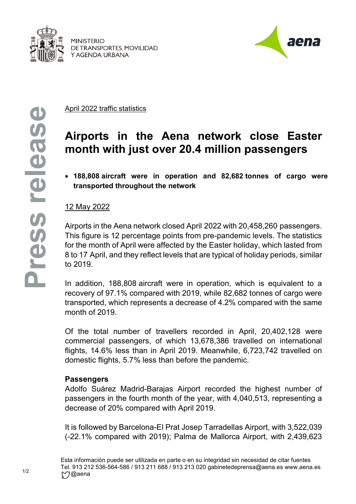

**MINISTERIO** DE TRANSPORTES, MOVILIDAD Y AGENDA URBANA



April 2022 traffic statistics

# **Airports in the Aena network close Easter month with just over 20.4 million passengers**

• **188,808 aircraft were in operation and 82,682 tonnes of cargo were transported throughout the network**

## 12 May 2022

Airports in the Aena network closed April 2022 with 20,458,260 passengers. This figure is 12 percentage points from pre-pandemic levels. The statistics for the month of April were affected by the Easter holiday, which lasted from 8 to 17 April, and they reflect levels that are typical of holiday periods, similar to 2019.

In addition, 188,808 aircraft were in operation, which is equivalent to a recovery of 97.1% compared with 2019, while 82,682 tonnes of cargo were transported, which represents a decrease of 4.2% compared with the same month of 2019.

Of the total number of travellers recorded in April, 20,402,128 were commercial passengers, of which 13,678,386 travelled on international flights, 14.6% less than in April 2019. Meanwhile, 6,723,742 travelled on domestic flights, 5.7% less than before the pandemic.

#### **Passengers**

Adolfo Suárez Madrid-Barajas Airport recorded the highest number of passengers in the fourth month of the year, with 4,040,513, representing a decrease of 20% compared with April 2019.

It is followed by Barcelona-El Prat Josep Tarradellas Airport, with 3,522,039 (-22.1% compared with 2019); Palma de Mallorca Airport, with 2,439,623